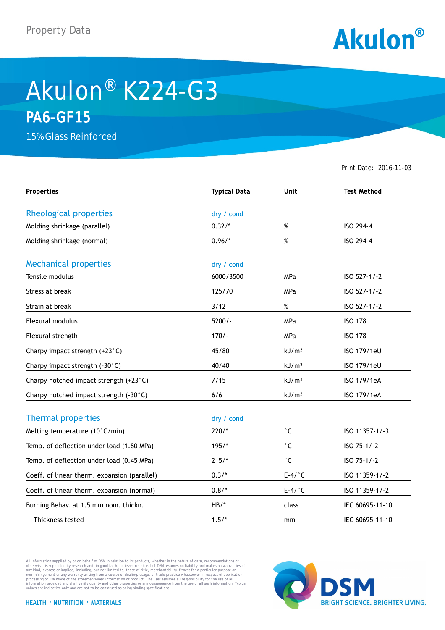

## Akulon® K224-G3 **PA6-GF15**

15% Glass Reinforced

Print Date: 2016-11-03

| <b>Properties</b>                            | <b>Typical Data</b> | <b>Unit</b>         | <b>Test Method</b> |
|----------------------------------------------|---------------------|---------------------|--------------------|
|                                              |                     |                     |                    |
| Rheological properties                       | dry / cond          |                     |                    |
| Molding shrinkage (parallel)                 | $0.32/*$            | $\%$                | ISO 294-4          |
| Molding shrinkage (normal)                   | $0.96/*$            | $\%$                | ISO 294-4          |
| <b>Mechanical properties</b>                 | dry / cond          |                     |                    |
| Tensile modulus                              | 6000/3500           | MPa                 | ISO 527-1/-2       |
| Stress at break                              | 125/70              | <b>MPa</b>          | ISO 527-1/-2       |
| Strain at break                              | 3/12                | $\%$                | ISO 527-1/-2       |
| Flexural modulus                             | $5200/-$            | MPa                 | <b>ISO 178</b>     |
| Flexural strength                            | $170/-$             | MPa                 | <b>ISO 178</b>     |
| Charpy impact strength (+23°C)               | 45/80               | kJ/m <sup>2</sup>   | ISO 179/1eU        |
| Charpy impact strength (-30°C)               | 40/40               | kJ/m <sup>2</sup>   | ISO 179/1eU        |
| Charpy notched impact strength (+23°C)       | 7/15                | kJ/m <sup>2</sup>   | ISO 179/1eA        |
| Charpy notched impact strength (-30°C)       | 6/6                 | kJ/m <sup>2</sup>   | ISO 179/1eA        |
| <b>Thermal properties</b>                    | dry / cond          |                     |                    |
| Melting temperature (10°C/min)               | $220/*$             | $^{\circ}$ C        | ISO 11357-1/-3     |
| Temp. of deflection under load (1.80 MPa)    | $195/*$             | $^\circ \mathsf{C}$ | ISO 75-1/-2        |
| Temp. of deflection under load (0.45 MPa)    | $215/*$             | $^{\circ}$ C        | ISO 75-1/-2        |
| Coeff. of linear therm. expansion (parallel) | $0.3/*$             | $E-4/°C$            | ISO 11359-1/-2     |
| Coeff. of linear therm. expansion (normal)   | $0.8/*$             | $E-4/°C$            | ISO 11359-1/-2     |
| Burning Behav. at 1.5 mm nom. thickn.        | $HB/*$              | class               | IEC 60695-11-10    |
| Thickness tested                             | $1.5/*$             | mm                  | IEC 60695-11-10    |

All information supplied by or on behalf of DSM in relation to its products, whether in the nature of data, recommendations or others in the matter of the order or the matter of the commendations or others in any kind, exp